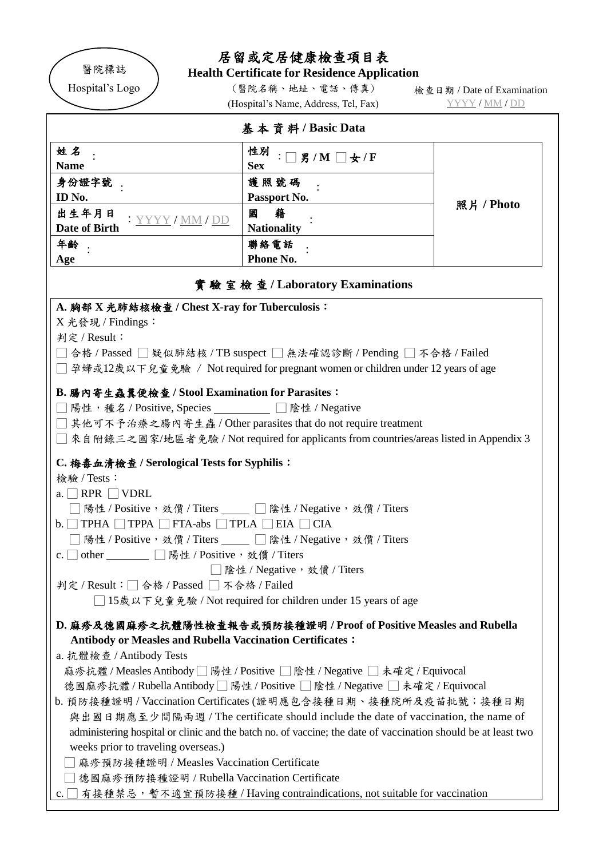

## 居留或定居健康檢查項目表

**Health Certificate for Residence Application**

(醫院名稱、地址、電話、傳真) (Hospital's Name, Address, Tel, Fax) 檢查日期 / Date of Examination YYYY / MM / DD

|                                                                                                                                                                                                                                                                    | (Hospital's Name, Address, Iel, Fax)                                                                                                                                                                                                                                                  |            |
|--------------------------------------------------------------------------------------------------------------------------------------------------------------------------------------------------------------------------------------------------------------------|---------------------------------------------------------------------------------------------------------------------------------------------------------------------------------------------------------------------------------------------------------------------------------------|------------|
|                                                                                                                                                                                                                                                                    | 基本資料/Basic Data                                                                                                                                                                                                                                                                       |            |
| 姓名<br><b>Name</b>                                                                                                                                                                                                                                                  | 性別<br>$\neg$ 男/M $\neg$ 女/F<br><b>Sex</b>                                                                                                                                                                                                                                             |            |
| 身份證字號<br>ID No.                                                                                                                                                                                                                                                    | 護照號碼<br>Passport No.                                                                                                                                                                                                                                                                  |            |
| 出生年月日<br>: YYYY/MM/DD<br>Date of Birth                                                                                                                                                                                                                             | 籍<br>國<br><b>Nationality</b>                                                                                                                                                                                                                                                          | 照片 / Photo |
| 年齢<br>Age                                                                                                                                                                                                                                                          | 聯絡電話<br>Phone No.                                                                                                                                                                                                                                                                     |            |
|                                                                                                                                                                                                                                                                    | 實驗室檢查/Laboratory Examinations                                                                                                                                                                                                                                                         |            |
| A. 胸部 X 光肺結核檢查 / Chest X-ray for Tuberculosis:<br>X 光發現 / Findings:<br>判定 / Result:                                                                                                                                                                                | ̄合格 / Passed  ̄ 疑似肺結核 / TB suspect □ 無法確認診斷 / Pending □ 不合格 / Failed<br>□ 孕婦或12歲以下兒童免驗 / Not required for pregnant women or children under 12 years of age                                                                                                                            |            |
| B. 腸內寄生蟲糞便檢查 / Stool Examination for Parasites:<br>□陽性,種名 / Positive, Species _________ □陰性 / Negative                                                                                                                                                             | □其他可不予治療之腸內寄生蟲 / Other parasites that do not require treatment<br>□ 來自附錄三之國家/地區者免驗 / Not required for applicants from countries/areas listed in Appendix 3                                                                                                                            |            |
| C. 梅毒血清檢查 / Serological Tests for Syphilis:<br>檢驗 / Tests:<br>a. $\Box$ RPR $\Box$ VDRL<br>$b.$ TPHA $\Box$ TPPA $\Box$ FTA-abs $\Box$ TPLA $\Box$ EIA $\Box$ CIA<br>□ 陽性 / Positive, 效價 / Titers<br>c. $\Box$ other<br>判定 / Result : □ 合格 / Passed □ 不合格 / Failed | 陽性 / Positive, 效價 / Titers ____ □ 陰性 / Negative, 效價 / Titers<br>陽性 / Positive, 效價 / Titers ____ □ 陰性 / Negative, 效價 / Titers<br>□陰性 / Negative,效價 / Titers<br>□ 15歲以下兒童免驗 / Not required for children under 15 years of age                                                           |            |
| <b>Antibody or Measles and Rubella Vaccination Certificates:</b><br>a. 抗體檢查 / Antibody Tests                                                                                                                                                                       | D. 麻疹及德國麻疹之抗體陽性檢查報告或預防接種證明 / Proof of Positive Measles and Rubella<br>麻疹抗體 / Measles Antibody □ 陽性 / Positive □ 陰性 / Negative □ 未確定 / Equivocal<br>德國麻疹抗體/Rubella Antibody □陽性/Positive □陰性/Negative □未確定/Equivocal<br>b. 預防接種證明 / Vaccination Certificates (證明應包含接種日期、接種院所及疫苗批號;接種日期 |            |
| $98.72 + 32.7$                                                                                                                                                                                                                                                     |                                                                                                                                                                                                                                                                                       |            |

與出國日期應至少間隔兩週 / The certificate should include the date of vaccination, the name of administering hospital or clinic and the batch no. of vaccine; the date of vaccination should be at least two weeks prior to traveling overseas.)

□ 麻疹預防接種證明 / Measles Vaccination Certificate

□ 德國麻疹預防接種證明 / Rubella Vaccination Certificate

c. □ 有接種禁忌,暫不適宜預防接種 / Having contraindications, not suitable for vaccination